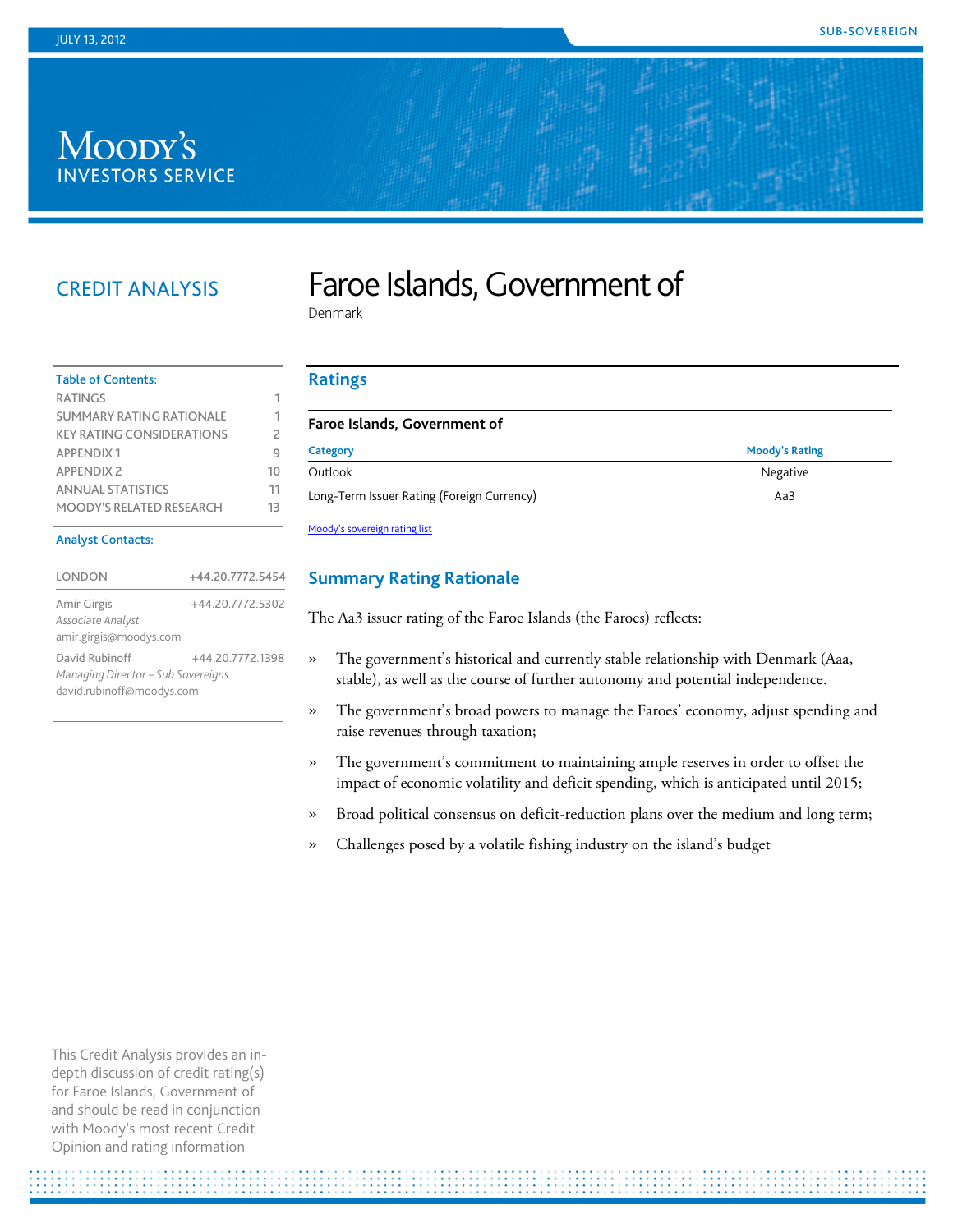# Moody's **INVESTORS SERVICE**

# CREDIT ANALYSIS

# Faroe Islands, Government of

Denmark

<span id="page-0-0"></span>**Ratings** 

#### Table of Contents:

| <b>RATINGS</b>                   |    |
|----------------------------------|----|
| SUMMARY RATING RATIONALE         | 1  |
| <b>KEY RATING CONSIDERATIONS</b> | 2  |
| <b>APPENDIX1</b>                 | q  |
| <b>APPENDIX 2</b>                | 10 |
| <b>ANNUAL STATISTICS</b>         | 11 |
| MOODY'S RELATED RESEARCH         | 13 |

#### Analyst Contacts:

| LONDON                                                                            | +44.20.7772.5454 |
|-----------------------------------------------------------------------------------|------------------|
| Amir Girgis<br>Associate Analyst<br>amir.girgis@moodys.com                        | +44.20.7772.5302 |
| David Rubinoff<br>Managing Director - Sub Sovereigns<br>david.rubinoff@moodys.com | +44.20.7772.1398 |

# **Faroe Islands, Government of**

| Category                                   | <b>Moody's Rating</b> |
|--------------------------------------------|-----------------------|
| Outlook                                    | Negative              |
| Long-Term Issuer Rating (Foreign Currency) | Aa3                   |

<span id="page-0-1"></span>[Moody's sovereign rating list](http://www.moodys.com/moodys/cust/content/loadcontent.aspx?source=StaticContent/BusinessLines/Sovereign-SubSovereign/RatingsListGBR.htm&Param=ALL)

# **Summary Rating Rationale**

The Aa3 issuer rating of the Faroe Islands (the Faroes) reflects:

- » The government's historical and currently stable relationship with Denmark (Aaa, stable), as well as the course of further autonomy and potential independence.
- » The government's broad powers to manage the Faroes' economy, adjust spending and raise revenues through taxation;
- » The government's commitment to maintaining ample reserves in order to offset the impact of economic volatility and deficit spending, which is anticipated until 2015;
- » Broad political consensus on deficit-reduction plans over the medium and long term;
- » Challenges posed by a volatile fishing industry on the island's budget

This Credit Analysis provides an indepth discussion of credit rating(s) for Faroe Islands, Government of and should be read in conjunction with Moody's most recent Credit Opinion and rating information

j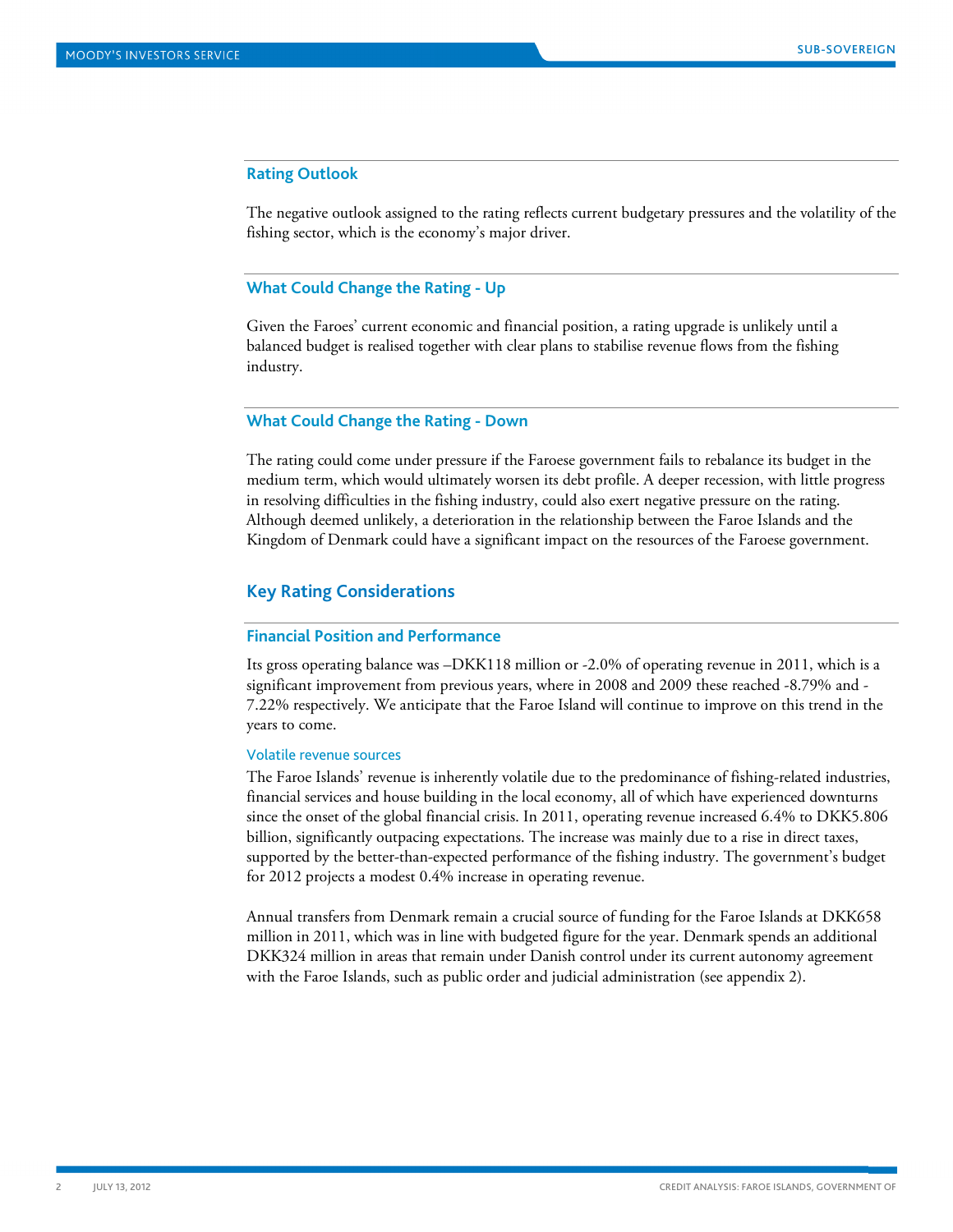#### **Rating Outlook**

The negative outlook assigned to the rating reflects current budgetary pressures and the volatility of the fishing sector, which is the economy's major driver.

#### **What Could Change the Rating - Up**

Given the Faroes' current economic and financial position, a rating upgrade is unlikely until a balanced budget is realised together with clear plans to stabilise revenue flows from the fishing industry.

#### **What Could Change the Rating - Down**

The rating could come under pressure if the Faroese government fails to rebalance its budget in the medium term, which would ultimately worsen its debt profile. A deeper recession, with little progress in resolving difficulties in the fishing industry, could also exert negative pressure on the rating. Although deemed unlikely, a deterioration in the relationship between the Faroe Islands and the Kingdom of Denmark could have a significant impact on the resources of the Faroese government.

# <span id="page-1-0"></span>**Key Rating Considerations**

#### **Financial Position and Performance**

Its gross operating balance was –DKK118 million or -2.0% of operating revenue in 2011, which is a significant improvement from previous years, where in 2008 and 2009 these reached -8.79% and - 7.22% respectively. We anticipate that the Faroe Island will continue to improve on this trend in the years to come.

#### Volatile revenue sources

The Faroe Islands' revenue is inherently volatile due to the predominance of fishing-related industries, financial services and house building in the local economy, all of which have experienced downturns since the onset of the global financial crisis. In 2011, operating revenue increased 6.4% to DKK5.806 billion, significantly outpacing expectations. The increase was mainly due to a rise in direct taxes, supported by the better-than-expected performance of the fishing industry. The government's budget for 2012 projects a modest 0.4% increase in operating revenue.

Annual transfers from Denmark remain a crucial source of funding for the Faroe Islands at DKK658 million in 2011, which was in line with budgeted figure for the year. Denmark spends an additional DKK324 million in areas that remain under Danish control under its current autonomy agreement with the Faroe Islands, such as public order and judicial administration (see appendix 2).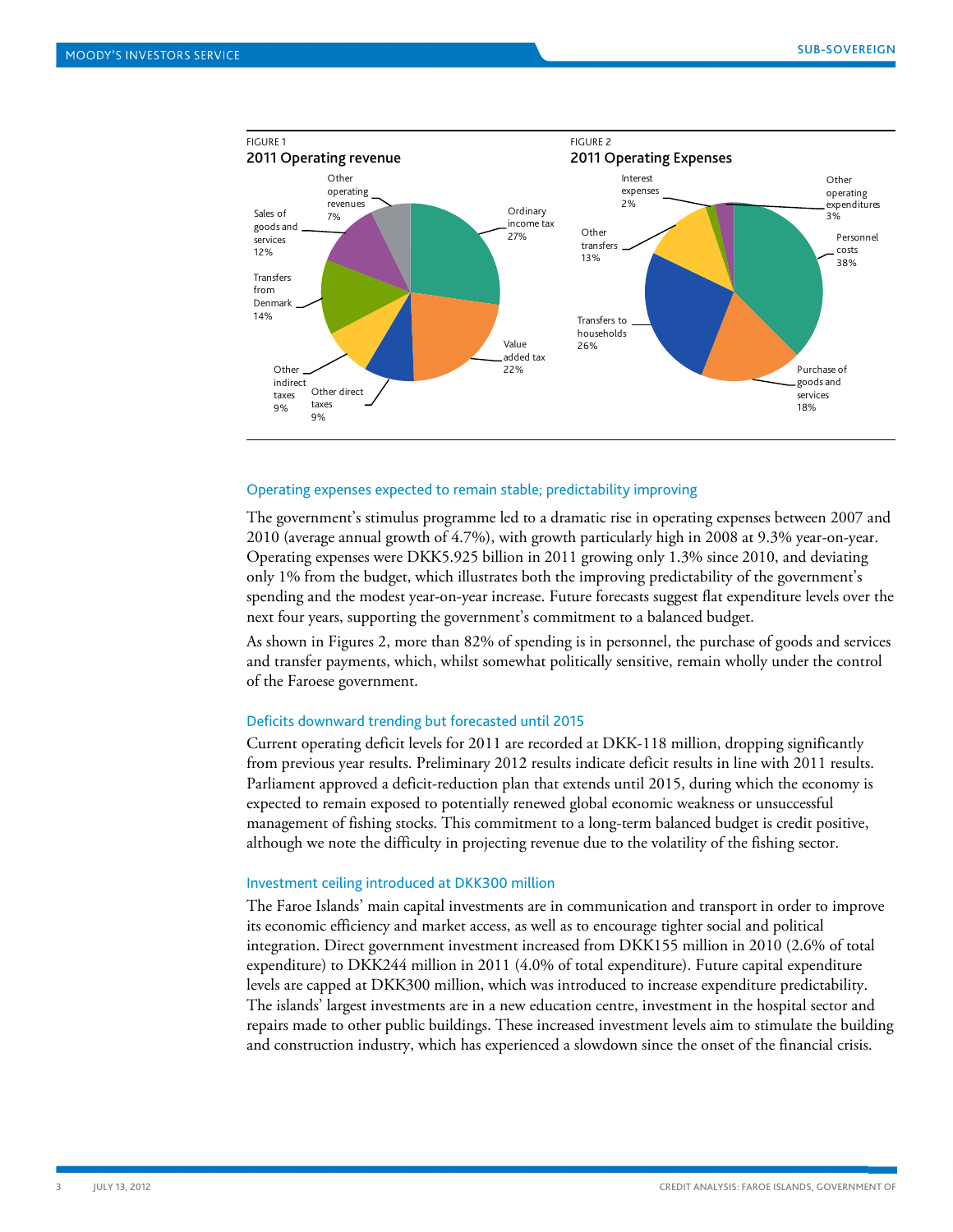

#### Operating expenses expected to remain stable; predictability improving

The government's stimulus programme led to a dramatic rise in operating expenses between 2007 and 2010 (average annual growth of 4.7%), with growth particularly high in 2008 at 9.3% year-on-year. Operating expenses were DKK5.925 billion in 2011 growing only 1.3% since 2010, and deviating only 1% from the budget, which illustrates both the improving predictability of the government's spending and the modest year-on-year increase. Future forecasts suggest flat expenditure levels over the next four years, supporting the government's commitment to a balanced budget.

As shown in Figures 2, more than 82% of spending is in personnel, the purchase of goods and services and transfer payments, which, whilst somewhat politically sensitive, remain wholly under the control of the Faroese government.

#### Deficits downward trending but forecasted until 2015

Current operating deficit levels for 2011 are recorded at DKK-118 million, dropping significantly from previous year results. Preliminary 2012 results indicate deficit results in line with 2011 results. Parliament approved a deficit-reduction plan that extends until 2015, during which the economy is expected to remain exposed to potentially renewed global economic weakness or unsuccessful management of fishing stocks. This commitment to a long-term balanced budget is credit positive, although we note the difficulty in projecting revenue due to the volatility of the fishing sector.

#### Investment ceiling introduced at DKK300 million

The Faroe Islands' main capital investments are in communication and transport in order to improve its economic efficiency and market access, as well as to encourage tighter social and political integration. Direct government investment increased from DKK155 million in 2010 (2.6% of total expenditure) to DKK244 million in 2011 (4.0% of total expenditure). Future capital expenditure levels are capped at DKK300 million, which was introduced to increase expenditure predictability. The islands' largest investments are in a new education centre, investment in the hospital sector and repairs made to other public buildings. These increased investment levels aim to stimulate the building and construction industry, which has experienced a slowdown since the onset of the financial crisis.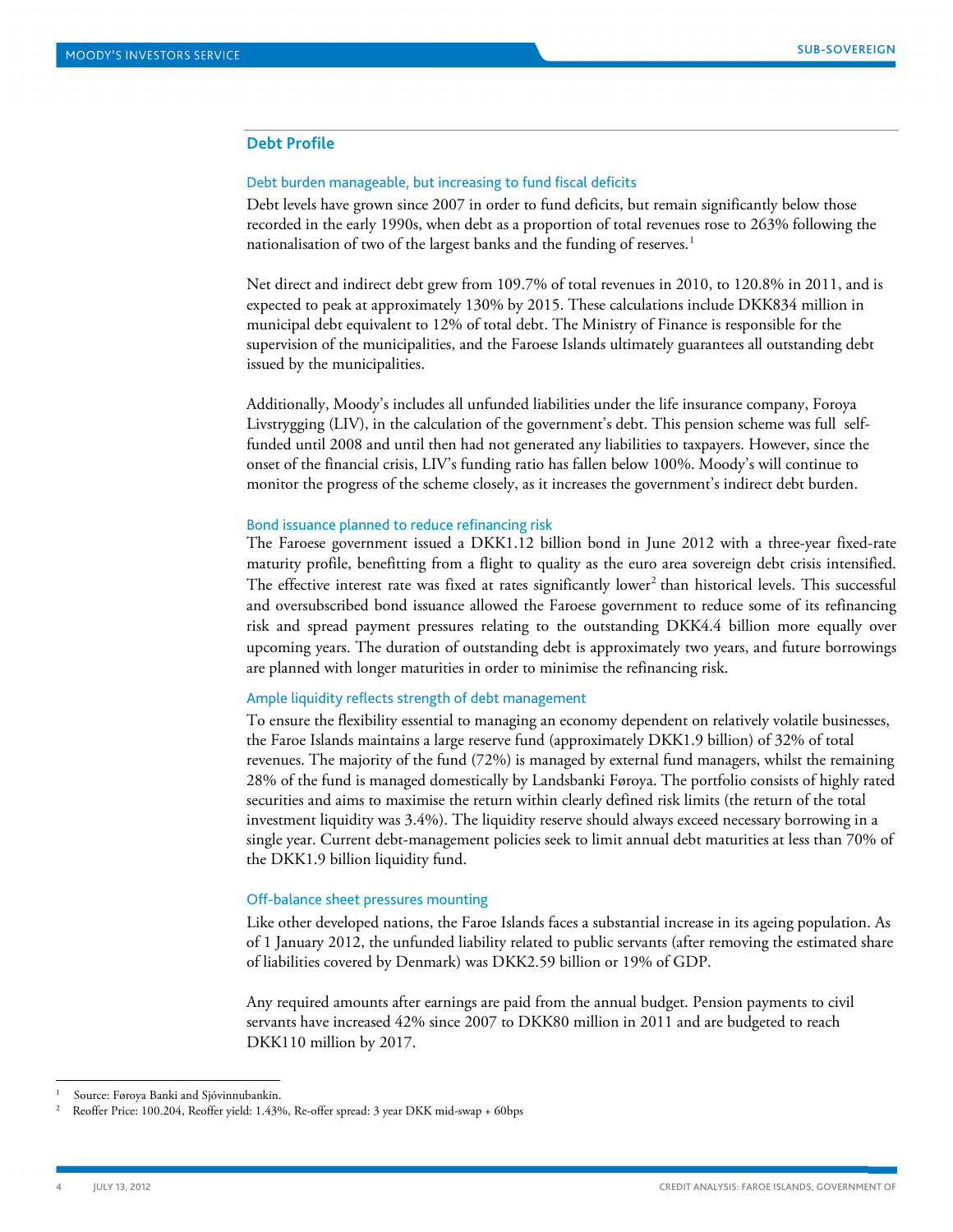### **Debt Profile**

#### Debt burden manageable, but increasing to fund fiscal deficits

Debt levels have grown since 2007 in order to fund deficits, but remain significantly below those recorded in the early 1990s, when debt as a proportion of total revenues rose to 263% following the nationalisation of two of the largest banks and the funding of reserves.<sup>[1](#page-3-0)</sup>

Net direct and indirect debt grew from 109.7% of total revenues in 2010, to 120.8% in 2011, and is expected to peak at approximately 130% by 2015. These calculations include DKK834 million in municipal debt equivalent to 12% of total debt. The Ministry of Finance is responsible for the supervision of the municipalities, and the Faroese Islands ultimately guarantees all outstanding debt issued by the municipalities.

Additionally, Moody's includes all unfunded liabilities under the life insurance company, Foroya Livstrygging (LIV), in the calculation of the government's debt. This pension scheme was full selffunded until 2008 and until then had not generated any liabilities to taxpayers. However, since the onset of the financial crisis, LIV's funding ratio has fallen below 100%. Moody's will continue to monitor the progress of the scheme closely, as it increases the government's indirect debt burden.

#### Bond issuance planned to reduce refinancing risk

The Faroese government issued a DKK1.12 billion bond in June 2012 with a three-year fixed-rate maturity profile, benefitting from a flight to quality as the euro area sovereign debt crisis intensified. The effective interest rate was fixed at rates significantly lower<sup>2</sup> than historical levels. This successful and oversubscribed bond issuance allowed the Faroese government to reduce some of its refinancing risk and spread payment pressures relating to the outstanding DKK4.4 billion more equally over upcoming years. The duration of outstanding debt is approximately two years, and future borrowings are planned with longer maturities in order to minimise the refinancing risk.

#### Ample liquidity reflects strength of debt management

To ensure the flexibility essential to managing an economy dependent on relatively volatile businesses, the Faroe Islands maintains a large reserve fund (approximately DKK1.9 billion) of 32% of total revenues. The majority of the fund (72%) is managed by external fund managers, whilst the remaining 28% of the fund is managed domestically by Landsbanki Føroya. The portfolio consists of highly rated securities and aims to maximise the return within clearly defined risk limits (the return of the total investment liquidity was 3.4%). The liquidity reserve should always exceed necessary borrowing in a single year. Current debt-management policies seek to limit annual debt maturities at less than 70% of the DKK1.9 billion liquidity fund.

#### Off-balance sheet pressures mounting

Like other developed nations, the Faroe Islands faces a substantial increase in its ageing population. As of 1 January 2012, the unfunded liability related to public servants (after removing the estimated share of liabilities covered by Denmark) was DKK2.59 billion or 19% of GDP.

Any required amounts after earnings are paid from the annual budget. Pension payments to civil servants have increased 42% since 2007 to DKK80 million in 2011 and are budgeted to reach DKK110 million by 2017.

<span id="page-3-0"></span>Source: Føroya Banki and Sjóvinnubankin.

<span id="page-3-1"></span><sup>2</sup> Reoffer Price: 100.204, Reoffer yield: 1.43%, Re-offer spread: 3 year DKK mid-swap + 60bps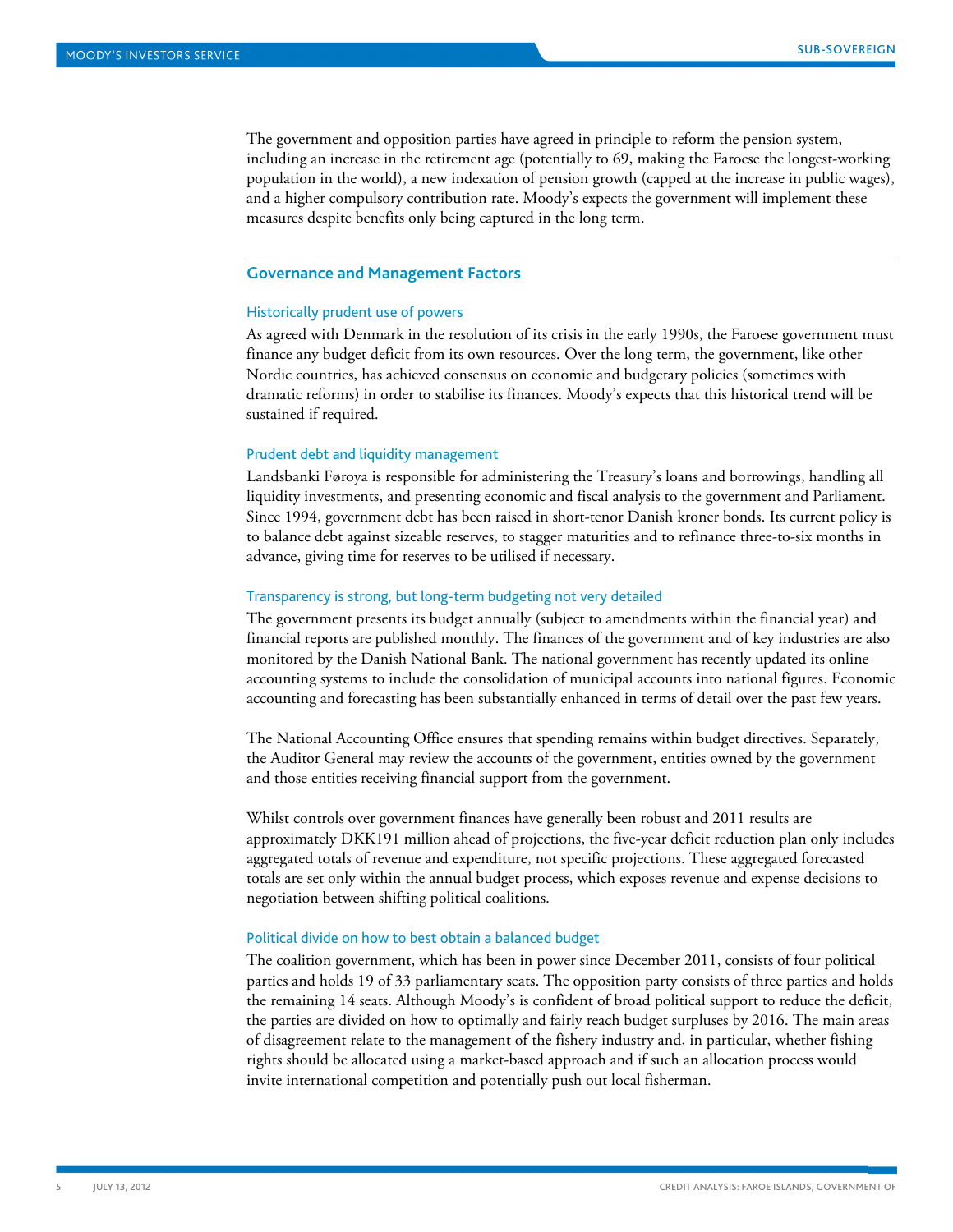The government and opposition parties have agreed in principle to reform the pension system, including an increase in the retirement age (potentially to 69, making the Faroese the longest-working population in the world), a new indexation of pension growth (capped at the increase in public wages), and a higher compulsory contribution rate. Moody's expects the government will implement these measures despite benefits only being captured in the long term.

#### **Governance and Management Factors**

#### Historically prudent use of powers

As agreed with Denmark in the resolution of its crisis in the early 1990s, the Faroese government must finance any budget deficit from its own resources. Over the long term, the government, like other Nordic countries, has achieved consensus on economic and budgetary policies (sometimes with dramatic reforms) in order to stabilise its finances. Moody's expects that this historical trend will be sustained if required.

#### Prudent debt and liquidity management

Landsbanki Føroya is responsible for administering the Treasury's loans and borrowings, handling all liquidity investments, and presenting economic and fiscal analysis to the government and Parliament. Since 1994, government debt has been raised in short-tenor Danish kroner bonds. Its current policy is to balance debt against sizeable reserves, to stagger maturities and to refinance three-to-six months in advance, giving time for reserves to be utilised if necessary.

#### Transparency is strong, but long-term budgeting not very detailed

The government presents its budget annually (subject to amendments within the financial year) and financial reports are published monthly. The finances of the government and of key industries are also monitored by the Danish National Bank. The national government has recently updated its online accounting systems to include the consolidation of municipal accounts into national figures. Economic accounting and forecasting has been substantially enhanced in terms of detail over the past few years.

The National Accounting Office ensures that spending remains within budget directives. Separately, the Auditor General may review the accounts of the government, entities owned by the government and those entities receiving financial support from the government.

Whilst controls over government finances have generally been robust and 2011 results are approximately DKK191 million ahead of projections, the five-year deficit reduction plan only includes aggregated totals of revenue and expenditure, not specific projections. These aggregated forecasted totals are set only within the annual budget process, which exposes revenue and expense decisions to negotiation between shifting political coalitions.

#### Political divide on how to best obtain a balanced budget

The coalition government, which has been in power since December 2011, consists of four political parties and holds 19 of 33 parliamentary seats. The opposition party consists of three parties and holds the remaining 14 seats. Although Moody's is confident of broad political support to reduce the deficit, the parties are divided on how to optimally and fairly reach budget surpluses by 2016. The main areas of disagreement relate to the management of the fishery industry and, in particular, whether fishing rights should be allocated using a market-based approach and if such an allocation process would invite international competition and potentially push out local fisherman.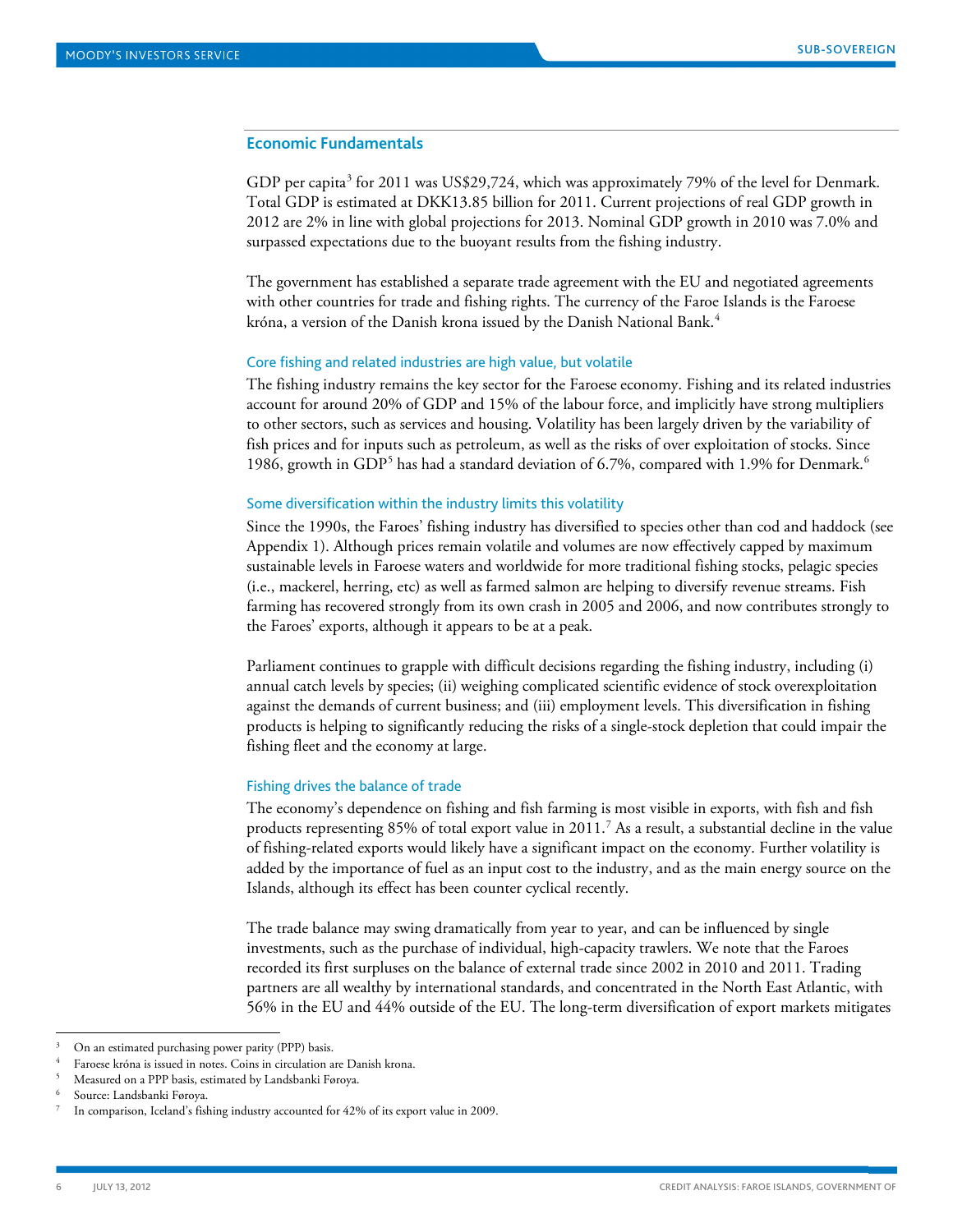#### **Economic Fundamentals**

GDP per capita<sup>[3](#page-5-0)</sup> for 2011 was US\$29,724, which was approximately 79% of the level for Denmark. Total GDP is estimated at DKK13.85 billion for 2011. Current projections of real GDP growth in 2012 are 2% in line with global projections for 2013. Nominal GDP growth in 2010 was 7.0% and surpassed expectations due to the buoyant results from the fishing industry.

The government has established a separate trade agreement with the EU and negotiated agreements with other countries for trade and fishing rights. The currency of the Faroe Islands is the Faroese króna, a version of the Danish krona issued by the Danish National Bank. [4](#page-5-1)

#### Core fishing and related industries are high value, but volatile

The fishing industry remains the key sector for the Faroese economy. Fishing and its related industries account for around 20% of GDP and 15% of the labour force, and implicitly have strong multipliers to other sectors, such as services and housing. Volatility has been largely driven by the variability of fish prices and for inputs such as petroleum, as well as the risks of over exploitation of stocks. Since 1986, growth in GDP<sup>[5](#page-5-2)</sup> has had a standard deviation of 6.7%, compared with 1.9% for Denmark.<sup>6</sup>

#### Some diversification within the industry limits this volatility

Since the 1990s, the Faroes' fishing industry has diversified to species other than cod and haddock (see Appendix 1). Although prices remain volatile and volumes are now effectively capped by maximum sustainable levels in Faroese waters and worldwide for more traditional fishing stocks, pelagic species (i.e., mackerel, herring, etc) as well as farmed salmon are helping to diversify revenue streams. Fish farming has recovered strongly from its own crash in 2005 and 2006, and now contributes strongly to the Faroes' exports, although it appears to be at a peak.

Parliament continues to grapple with difficult decisions regarding the fishing industry, including (i) annual catch levels by species; (ii) weighing complicated scientific evidence of stock overexploitation against the demands of current business; and (iii) employment levels. This diversification in fishing products is helping to significantly reducing the risks of a single-stock depletion that could impair the fishing fleet and the economy at large.

#### Fishing drives the balance of trade

The economy's dependence on fishing and fish farming is most visible in exports, with fish and fish products representing 85% of total export value in 2011. [7](#page-5-4) As a result, a substantial decline in the value of fishing-related exports would likely have a significant impact on the economy. Further volatility is added by the importance of fuel as an input cost to the industry, and as the main energy source on the Islands, although its effect has been counter cyclical recently.

The trade balance may swing dramatically from year to year, and can be influenced by single investments, such as the purchase of individual, high-capacity trawlers. We note that the Faroes recorded its first surpluses on the balance of external trade since 2002 in 2010 and 2011. Trading partners are all wealthy by international standards, and concentrated in the North East Atlantic, with 56% in the EU and 44% outside of the EU. The long-term diversification of export markets mitigates

<span id="page-5-0"></span>On an estimated purchasing power parity (PPP) basis.

<span id="page-5-1"></span><sup>4</sup> Faroese króna is issued in notes. Coins in circulation are Danish krona.

<span id="page-5-2"></span><sup>5</sup> Measured on a PPP basis, estimated by Landsbanki Føroya.

<span id="page-5-3"></span><sup>6</sup> Source: Landsbanki Føroya.

<span id="page-5-4"></span>In comparison, Iceland's fishing industry accounted for 42% of its export value in 2009.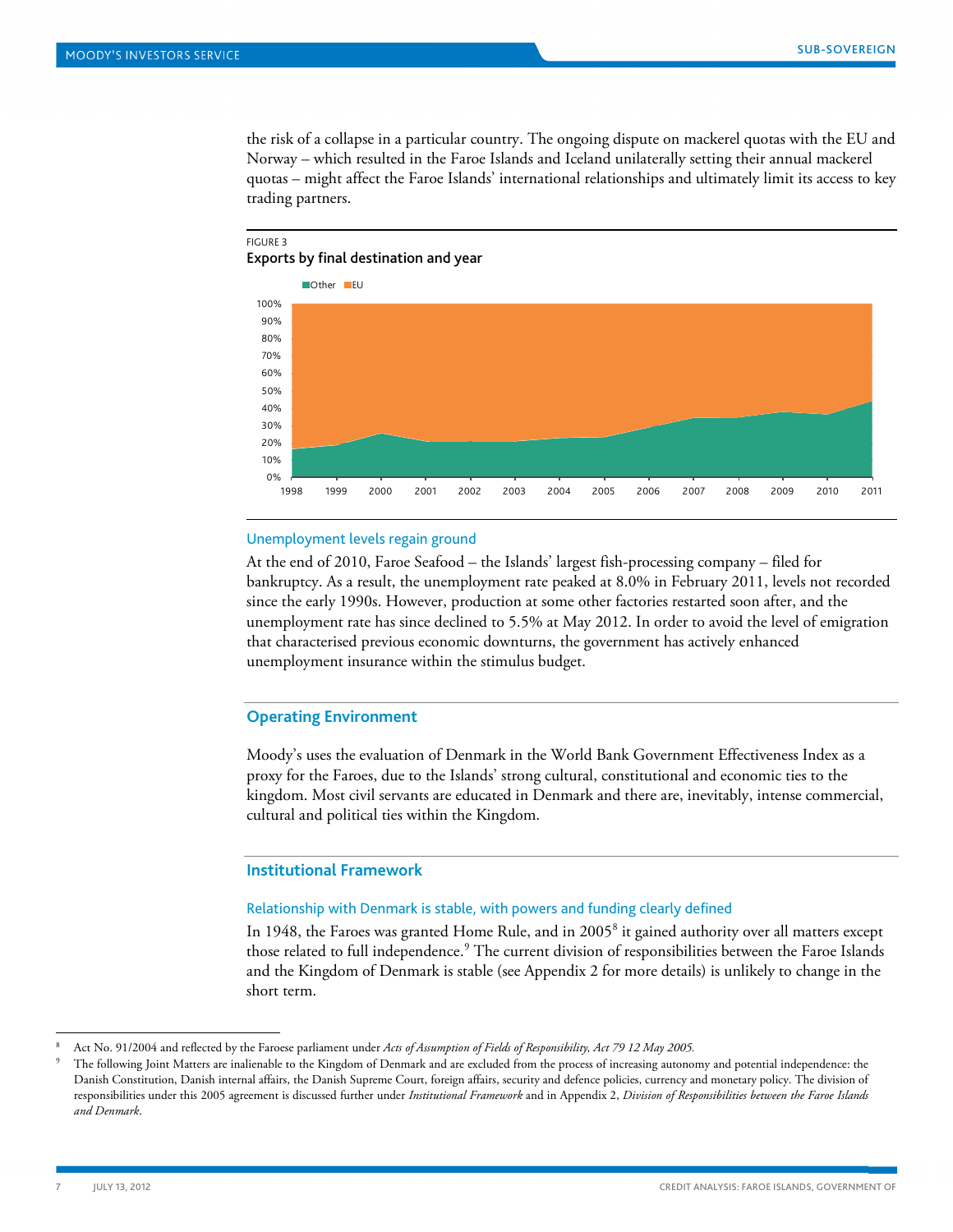the risk of a collapse in a particular country. The ongoing dispute on mackerel quotas with the EU and Norway – which resulted in the Faroe Islands and Iceland unilaterally setting their annual mackerel quotas – might affect the Faroe Islands' international relationships and ultimately limit its access to key trading partners.



#### Unemployment levels regain ground

At the end of 2010, Faroe Seafood – the Islands' largest fish-processing company – filed for bankruptcy. As a result, the unemployment rate peaked at 8.0% in February 2011, levels not recorded since the early 1990s. However, production at some other factories restarted soon after, and the unemployment rate has since declined to 5.5% at May 2012. In order to avoid the level of emigration that characterised previous economic downturns, the government has actively enhanced unemployment insurance within the stimulus budget.

#### **Operating Environment**

Moody's uses the evaluation of Denmark in the World Bank Government Effectiveness Index as a proxy for the Faroes, due to the Islands' strong cultural, constitutional and economic ties to the kingdom. Most civil servants are educated in Denmark and there are, inevitably, intense commercial, cultural and political ties within the Kingdom.

#### **Institutional Framework**

#### Relationship with Denmark is stable, with powers and funding clearly defined

In 194[8](#page-6-0), the Faroes was granted Home Rule, and in 2005<sup>8</sup> it gained authority over all matters except those related to full independence.<sup>[9](#page-6-1)</sup> The current division of responsibilities between the Faroe Islands and the Kingdom of Denmark is stable (see Appendix 2 for more details) is unlikely to change in the short term.

<span id="page-6-0"></span> <sup>8</sup> Act No. 91/2004 and reflected by the Faroese parliament under *Acts of Assumption of Fields of Responsibility, Act 79 12 May 2005.*

<span id="page-6-1"></span>The following Joint Matters are inalienable to the Kingdom of Denmark and are excluded from the process of increasing autonomy and potential independence: the Danish Constitution, Danish internal affairs, the Danish Supreme Court, foreign affairs, security and defence policies, currency and monetary policy. The division of responsibilities under this 2005 agreement is discussed further under *Institutional Framework* and in Appendix 2, *Division of Responsibilities between the Faroe Islands and Denmark*.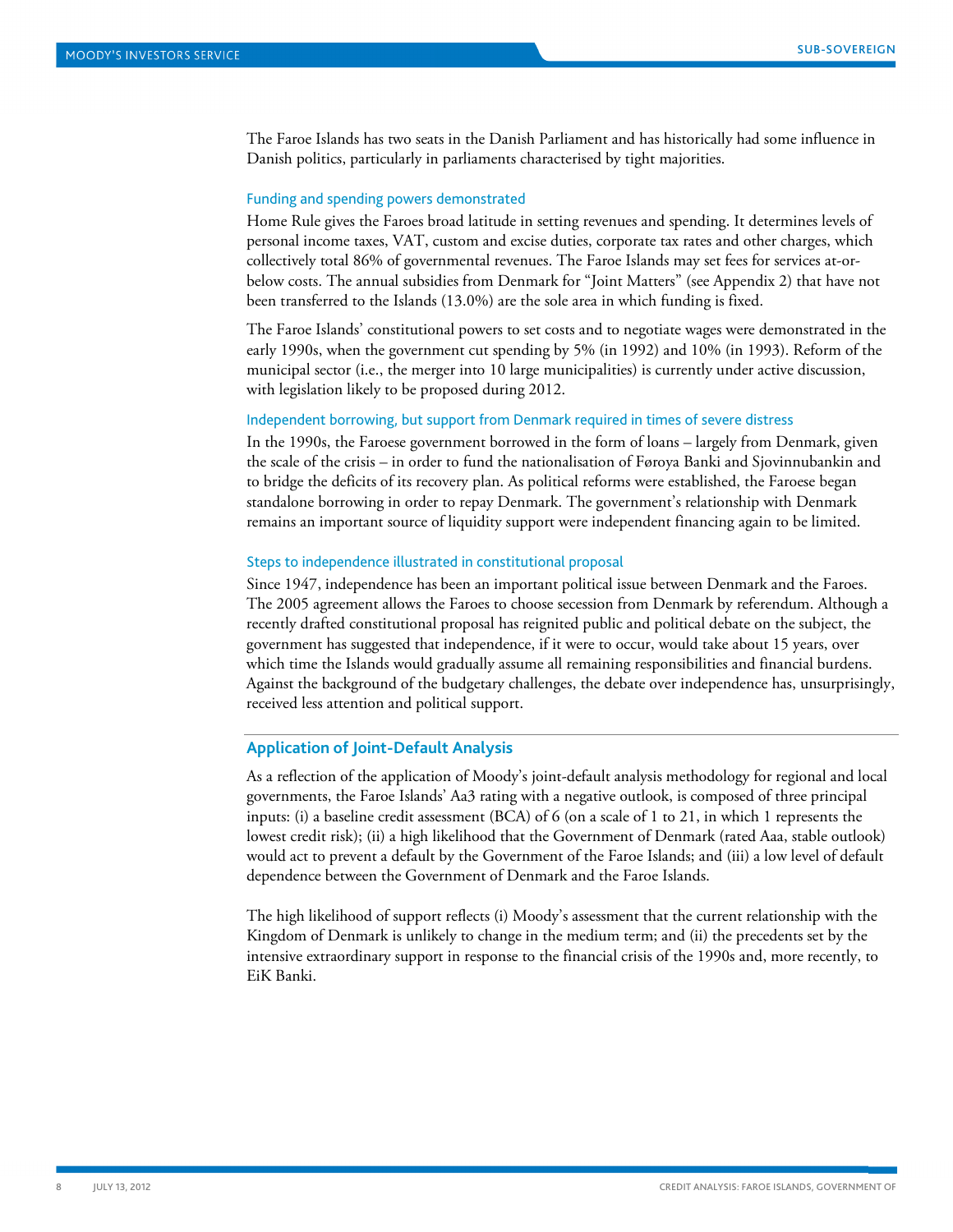The Faroe Islands has two seats in the Danish Parliament and has historically had some influence in Danish politics, particularly in parliaments characterised by tight majorities.

#### Funding and spending powers demonstrated

Home Rule gives the Faroes broad latitude in setting revenues and spending. It determines levels of personal income taxes, VAT, custom and excise duties, corporate tax rates and other charges, which collectively total 86% of governmental revenues. The Faroe Islands may set fees for services at-orbelow costs. The annual subsidies from Denmark for "Joint Matters" (see Appendix 2) that have not been transferred to the Islands (13.0%) are the sole area in which funding is fixed.

The Faroe Islands' constitutional powers to set costs and to negotiate wages were demonstrated in the early 1990s, when the government cut spending by 5% (in 1992) and 10% (in 1993). Reform of the municipal sector (i.e., the merger into 10 large municipalities) is currently under active discussion, with legislation likely to be proposed during 2012.

#### Independent borrowing, but support from Denmark required in times of severe distress

In the 1990s, the Faroese government borrowed in the form of loans – largely from Denmark, given the scale of the crisis – in order to fund the nationalisation of Føroya Banki and Sjovinnubankin and to bridge the deficits of its recovery plan. As political reforms were established, the Faroese began standalone borrowing in order to repay Denmark. The government's relationship with Denmark remains an important source of liquidity support were independent financing again to be limited.

#### Steps to independence illustrated in constitutional proposal

Since 1947, independence has been an important political issue between Denmark and the Faroes. The 2005 agreement allows the Faroes to choose secession from Denmark by referendum. Although a recently drafted constitutional proposal has reignited public and political debate on the subject, the government has suggested that independence, if it were to occur, would take about 15 years, over which time the Islands would gradually assume all remaining responsibilities and financial burdens. Against the background of the budgetary challenges, the debate over independence has, unsurprisingly, received less attention and political support.

#### **Application of Joint-Default Analysis**

As a reflection of the application of Moody's joint-default analysis methodology for regional and local governments, the Faroe Islands' Aa3 rating with a negative outlook, is composed of three principal inputs: (i) a baseline credit assessment (BCA) of 6 (on a scale of 1 to 21, in which 1 represents the lowest credit risk); (ii) a high likelihood that the Government of Denmark (rated Aaa, stable outlook) would act to prevent a default by the Government of the Faroe Islands; and (iii) a low level of default dependence between the Government of Denmark and the Faroe Islands.

The high likelihood of support reflects (i) Moody's assessment that the current relationship with the Kingdom of Denmark is unlikely to change in the medium term; and (ii) the precedents set by the intensive extraordinary support in response to the financial crisis of the 1990s and, more recently, to EiK Banki.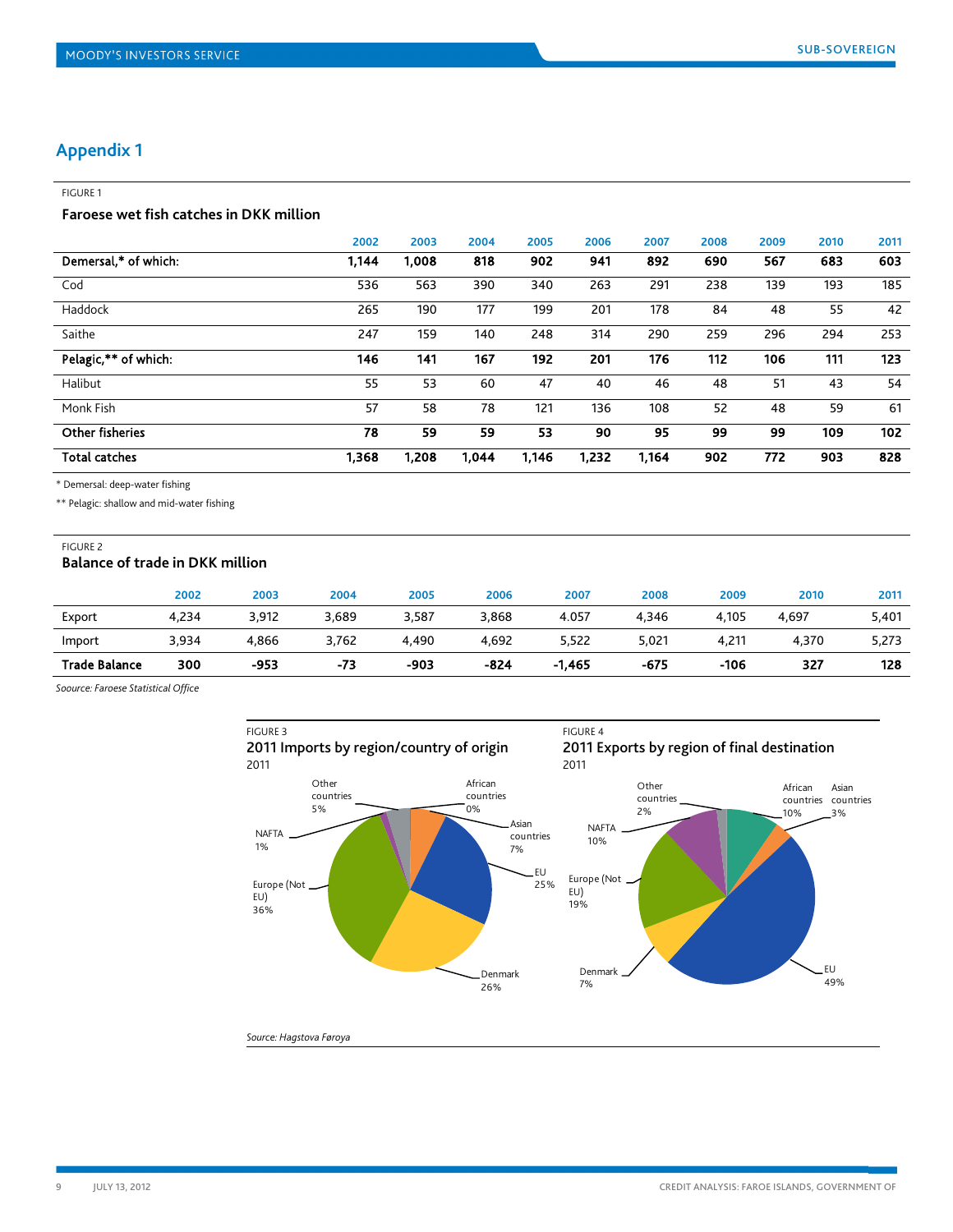# <span id="page-8-0"></span>**Appendix 1**

#### FIGURE 1

**Faroese wet fish catches in DKK million**

|                        | 2002  | 2003  | 2004  | 2005  | 2006  | 2007  | 2008 | 2009 | 2010 | 2011 |
|------------------------|-------|-------|-------|-------|-------|-------|------|------|------|------|
| Demersal,* of which:   | 1,144 | 1,008 | 818   | 902   | 941   | 892   | 690  | 567  | 683  | 603  |
| Cod                    | 536   | 563   | 390   | 340   | 263   | 291   | 238  | 139  | 193  | 185  |
| Haddock                | 265   | 190   | 177   | 199   | 201   | 178   | 84   | 48   | 55   | 42   |
| Saithe                 | 247   | 159   | 140   | 248   | 314   | 290   | 259  | 296  | 294  | 253  |
| Pelagic,** of which:   | 146   | 141   | 167   | 192   | 201   | 176   | 112  | 106  | 111  | 123  |
| Halibut                | 55    | 53    | 60    | 47    | 40    | 46    | 48   | 51   | 43   | 54   |
| Monk Fish              | 57    | 58    | 78    | 121   | 136   | 108   | 52   | 48   | 59   | 61   |
| <b>Other fisheries</b> | 78    | 59    | 59    | 53    | 90    | 95    | 99   | 99   | 109  | 102  |
| <b>Total catches</b>   | 1,368 | 1,208 | 1,044 | 1,146 | 1,232 | 1,164 | 902  | 772  | 903  | 828  |

\* Demersal: deep-water fishing

\*\* Pelagic: shallow and mid-water fishing

#### FIGURE 2

#### **Balance of trade in DKK million**

|                      | 2002  | 2003  | 2004  | 2005   | 2006   | 2007     | 2008   | 2009  | 2010  | 2011  |
|----------------------|-------|-------|-------|--------|--------|----------|--------|-------|-------|-------|
| Export               | 4.234 | 3,912 | 3.689 | 3.587  | 3.868  | 4.057    | 4.346  | 4.105 | 4.697 | 5,401 |
| Import               | 3.934 | 4.866 | 3,762 | 4.490  | 4.692  | 5,522    | 5,021  | 4,211 | 4.370 | 5,273 |
| <b>Trade Balance</b> | 300   | -953  | -73   | $-903$ | $-824$ | $-1,465$ | $-675$ | -106  | 327   | 128   |

*Soource: Faroese Statistical Office*



#### *Source: Hagstova Føroya*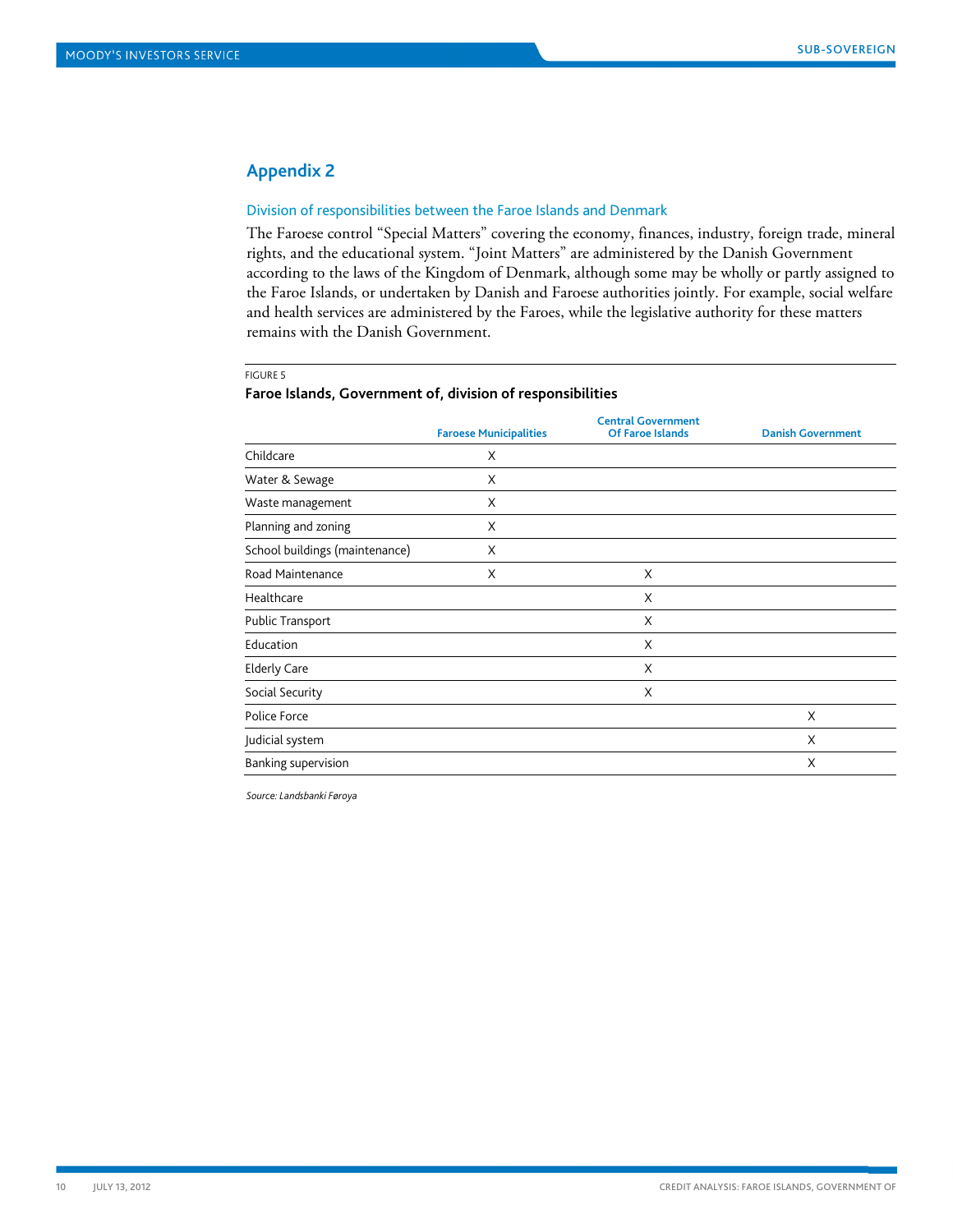# <span id="page-9-0"></span>**Appendix 2**

#### Division of responsibilities between the Faroe Islands and Denmark

The Faroese control "Special Matters" covering the economy, finances, industry, foreign trade, mineral rights, and the educational system. "Joint Matters" are administered by the Danish Government according to the laws of the Kingdom of Denmark, although some may be wholly or partly assigned to the Faroe Islands, or undertaken by Danish and Faroese authorities jointly. For example, social welfare and health services are administered by the Faroes, while the legislative authority for these matters remains with the Danish Government.

#### FIGURE 5

#### **Faroe Islands, Government of, division of responsibilities**

|   | <b>Central Government</b><br><b>Of Faroe Islands</b> | <b>Danish Government</b> |
|---|------------------------------------------------------|--------------------------|
| X |                                                      |                          |
| X |                                                      |                          |
| X |                                                      |                          |
| X |                                                      |                          |
| X |                                                      |                          |
| X | X                                                    |                          |
|   | X                                                    |                          |
|   | X                                                    |                          |
|   | X                                                    |                          |
|   | X                                                    |                          |
|   | X                                                    |                          |
|   |                                                      | X                        |
|   |                                                      | X                        |
|   |                                                      | X                        |
|   | <b>Faroese Municipalities</b>                        |                          |

*Source: Landsbanki Føroya*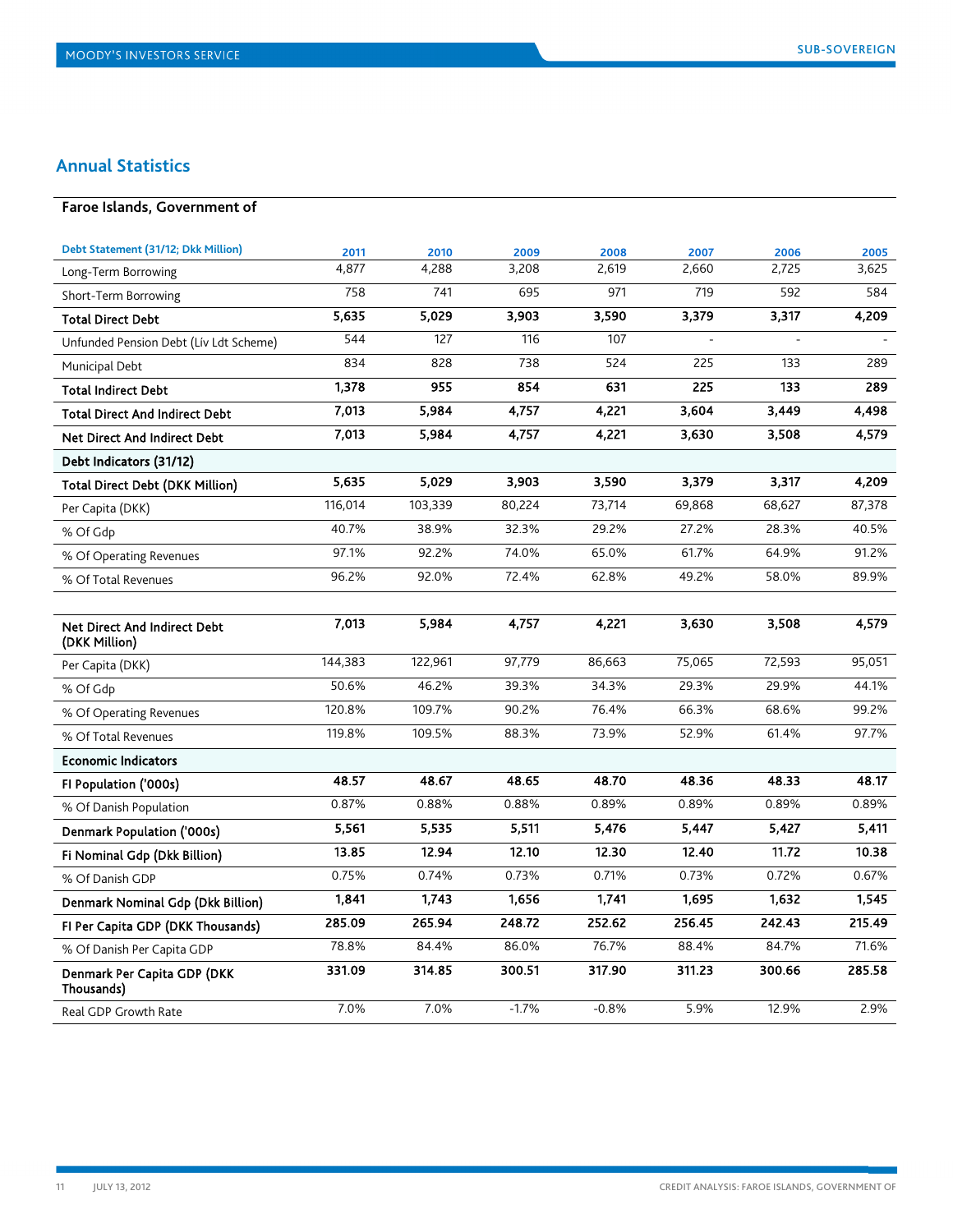# <span id="page-10-0"></span>**Annual Statistics**

# **Faroe Islands, Government of**

| Debt Statement (31/12; Dkk Million)    | 2011    | 2010    | 2009   | 2008   | 2007                     | 2006   | 2005   |
|----------------------------------------|---------|---------|--------|--------|--------------------------|--------|--------|
| Long-Term Borrowing                    | 4,877   | 4,288   | 3,208  | 2,619  | 2,660                    | 2,725  | 3,625  |
| Short-Term Borrowing                   | 758     | 741     | 695    | 971    | 719                      | 592    | 584    |
| <b>Total Direct Debt</b>               | 5,635   | 5,029   | 3,903  | 3,590  | 3,379                    | 3,317  | 4,209  |
| Unfunded Pension Debt (Lív Ldt Scheme) | 544     | 127     | 116    | 107    | $\overline{\phantom{0}}$ |        |        |
| Municipal Debt                         | 834     | 828     | 738    | 524    | 225                      | 133    | 289    |
| <b>Total Indirect Debt</b>             | 1,378   | 955     | 854    | 631    | 225                      | 133    | 289    |
| <b>Total Direct And Indirect Debt</b>  | 7,013   | 5,984   | 4,757  | 4,221  | 3,604                    | 3,449  | 4,498  |
| Net Direct And Indirect Debt           | 7,013   | 5,984   | 4,757  | 4,221  | 3,630                    | 3,508  | 4,579  |
| Debt Indicators (31/12)                |         |         |        |        |                          |        |        |
| <b>Total Direct Debt (DKK Million)</b> | 5,635   | 5,029   | 3,903  | 3,590  | 3,379                    | 3,317  | 4,209  |
| Per Capita (DKK)                       | 116,014 | 103,339 | 80,224 | 73,714 | 69,868                   | 68,627 | 87,378 |
| % Of Gdp                               | 40.7%   | 38.9%   | 32.3%  | 29.2%  | 27.2%                    | 28.3%  | 40.5%  |
| % Of Operating Revenues                | 97.1%   | 92.2%   | 74.0%  | 65.0%  | 61.7%                    | 64.9%  | 91.2%  |
| % Of Total Revenues                    | 96.2%   | 92.0%   | 72.4%  | 62.8%  | 49.2%                    | 58.0%  | 89.9%  |
|                                        |         |         |        |        |                          |        |        |

| Net Direct And Indirect Debt<br>(DKK Million) | 7,013   | 5,984   | 4,757   | 4,221   | 3,630  | 3,508  | 4,579  |
|-----------------------------------------------|---------|---------|---------|---------|--------|--------|--------|
| Per Capita (DKK)                              | 144,383 | 122,961 | 97,779  | 86,663  | 75,065 | 72,593 | 95,051 |
| % Of Gdp                                      | 50.6%   | 46.2%   | 39.3%   | 34.3%   | 29.3%  | 29.9%  | 44.1%  |
| % Of Operating Revenues                       | 120.8%  | 109.7%  | 90.2%   | 76.4%   | 66.3%  | 68.6%  | 99.2%  |
| % Of Total Revenues                           | 119.8%  | 109.5%  | 88.3%   | 73.9%   | 52.9%  | 61.4%  | 97.7%  |
| <b>Economic Indicators</b>                    |         |         |         |         |        |        |        |
| FI Population ('000s)                         | 48.57   | 48.67   | 48.65   | 48.70   | 48.36  | 48.33  | 48.17  |
| % Of Danish Population                        | 0.87%   | 0.88%   | 0.88%   | 0.89%   | 0.89%  | 0.89%  | 0.89%  |
| Denmark Population ('000s)                    | 5,561   | 5,535   | 5,511   | 5,476   | 5,447  | 5,427  | 5,411  |
| Fi Nominal Gdp (Dkk Billion)                  | 13.85   | 12.94   | 12.10   | 12.30   | 12.40  | 11.72  | 10.38  |
| % Of Danish GDP                               | 0.75%   | 0.74%   | 0.73%   | 0.71%   | 0.73%  | 0.72%  | 0.67%  |
| Denmark Nominal Gdp (Dkk Billion)             | 1,841   | 1,743   | 1,656   | 1,741   | 1,695  | 1,632  | 1,545  |
| FI Per Capita GDP (DKK Thousands)             | 285.09  | 265.94  | 248.72  | 252.62  | 256.45 | 242.43 | 215.49 |
| % Of Danish Per Capita GDP                    | 78.8%   | 84.4%   | 86.0%   | 76.7%   | 88.4%  | 84.7%  | 71.6%  |
| Denmark Per Capita GDP (DKK<br>Thousands)     | 331.09  | 314.85  | 300.51  | 317.90  | 311.23 | 300.66 | 285.58 |
| Real GDP Growth Rate                          | 7.0%    | 7.0%    | $-1.7%$ | $-0.8%$ | 5.9%   | 12.9%  | 2.9%   |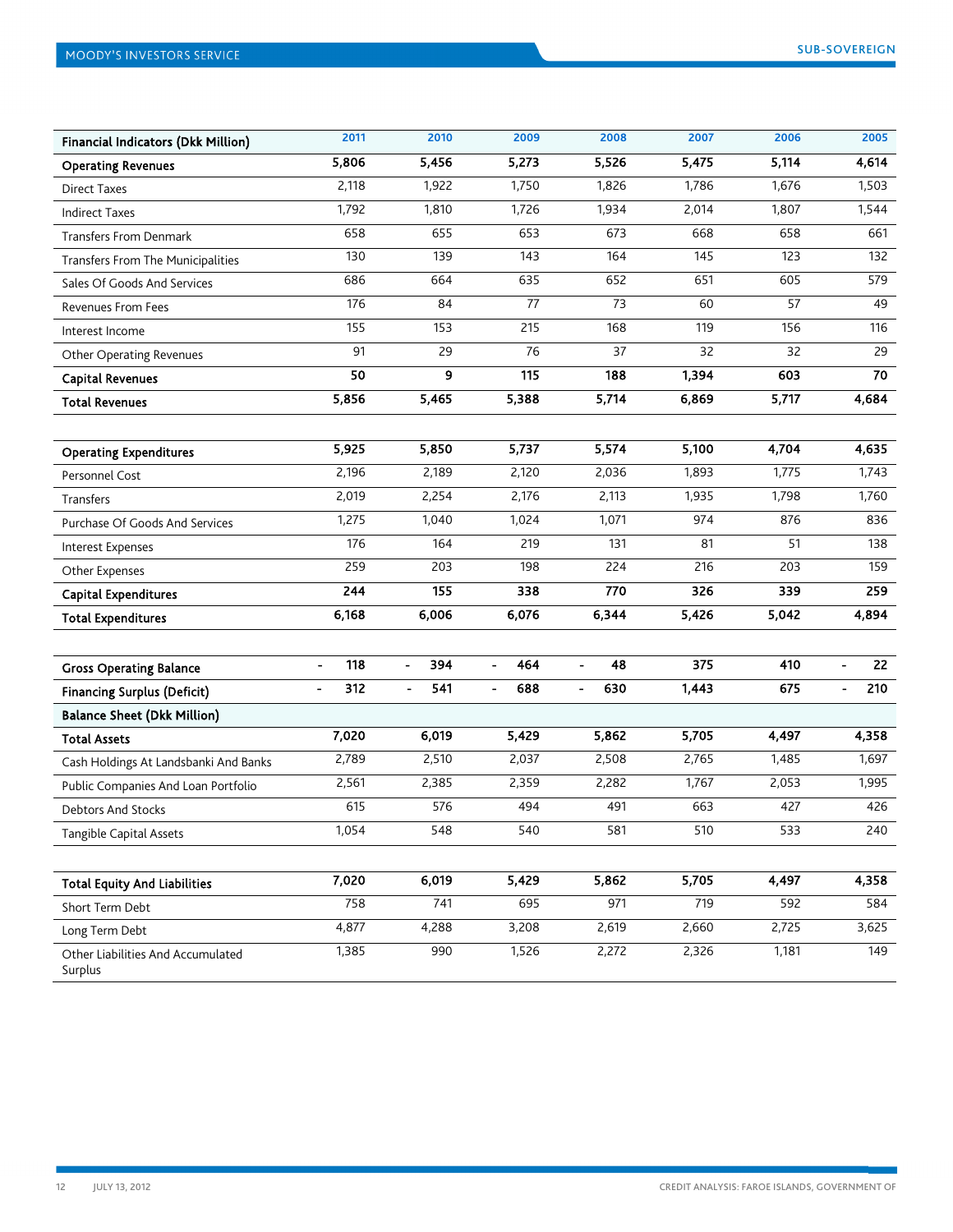| <b>Financial Indicators (Dkk Million)</b>    | 2011                  | 2010                                | 2009                  | 2008                            | 2007  | 2006  | 2005                            |
|----------------------------------------------|-----------------------|-------------------------------------|-----------------------|---------------------------------|-------|-------|---------------------------------|
| <b>Operating Revenues</b>                    | 5,806                 | 5,456                               | 5,273                 | 5,526                           | 5,475 | 5,114 | 4,614                           |
| <b>Direct Taxes</b>                          | 2,118                 | 1,922                               | 1,750                 | 1,826                           | 1,786 | 1,676 | 1,503                           |
| <b>Indirect Taxes</b>                        | 1,792                 | 1,810                               | 1,726                 | 1,934                           | 2,014 | 1,807 | 1,544                           |
| <b>Transfers From Denmark</b>                | 658                   | 655                                 | 653                   | 673                             | 668   | 658   | 661                             |
| Transfers From The Municipalities            | 130                   | 139                                 | 143                   | 164                             | 145   | 123   | 132                             |
| Sales Of Goods And Services                  | 686                   | 664                                 | 635                   | 652                             | 651   | 605   | 579                             |
| <b>Revenues From Fees</b>                    | 176                   | 84                                  | 77                    | 73                              | 60    | 57    | 49                              |
| Interest Income                              | 155                   | 153                                 | 215                   | 168                             | 119   | 156   | 116                             |
| <b>Other Operating Revenues</b>              | 91                    | 29                                  | 76                    | 37                              | 32    | 32    | 29                              |
| <b>Capital Revenues</b>                      | 50                    | 9                                   | 115                   | 188                             | 1,394 | 603   | 70                              |
| <b>Total Revenues</b>                        | 5,856                 | 5,465                               | 5,388                 | 5,714                           | 6,869 | 5,717 | 4,684                           |
| <b>Operating Expenditures</b>                | 5,925                 | 5,850                               | 5,737                 | 5,574                           | 5,100 | 4,704 | 4,635                           |
| Personnel Cost                               | 2,196                 | 2,189                               | 2,120                 | 2,036                           | 1,893 | 1,775 | 1,743                           |
| Transfers                                    | 2,019                 | 2,254                               | 2,176                 | 2,113                           | 1,935 | 1,798 | 1,760                           |
| Purchase Of Goods And Services               | 1,275                 | 1,040                               | 1,024                 | 1,071                           | 974   | 876   | 836                             |
|                                              | 176                   | 164                                 | 219                   | 131                             | 81    | 51    | 138                             |
| Interest Expenses                            | 259                   | 203                                 | 198                   | 224                             | 216   | 203   | 159                             |
| Other Expenses                               | 244                   | 155                                 | 338                   | 770                             | 326   | 339   | 259                             |
| <b>Capital Expenditures</b>                  | 6,168                 | 6,006                               | 6,076                 | 6,344                           | 5,426 | 5,042 | 4,894                           |
| <b>Total Expenditures</b>                    |                       |                                     |                       |                                 |       |       |                                 |
| <b>Gross Operating Balance</b>               | 118<br>$\blacksquare$ | 394<br>$\qquad \qquad \blacksquare$ | 464<br>$\blacksquare$ | 48<br>$\blacksquare$            | 375   | 410   | 22<br>$\blacksquare$            |
| <b>Financing Surplus (Deficit)</b>           | 312<br>$\overline{a}$ | 541<br>$\overline{\phantom{a}}$     | 688<br>$\frac{1}{2}$  | 630<br>$\overline{\phantom{a}}$ | 1,443 | 675   | 210<br>$\overline{\phantom{a}}$ |
| <b>Balance Sheet (Dkk Million)</b>           |                       |                                     |                       |                                 |       |       |                                 |
| Total Assets                                 | 7,020                 | 6,019                               | 5,429                 | 5,862                           | 5,705 | 4,497 | 4,358                           |
| Cash Holdings At Landsbanki And Banks        | 2,789                 | 2,510                               | 2,037                 | 2,508                           | 2,765 | 1,485 | 1,697                           |
| Public Companies And Loan Portfolio          | 2,561                 | 2,385                               | 2,359                 | 2,282                           | 1,767 | 2,053 | 1,995                           |
| <b>Debtors And Stocks</b>                    | 615                   | 576                                 | 494                   | 491                             | 663   | 427   | 426                             |
| Tangible Capital Assets                      | 1,054                 | 548                                 | 540                   | 581                             | 510   | 533   | 240                             |
| <b>Total Equity And Liabilities</b>          | 7,020                 | 6,019                               | 5,429                 | 5,862                           | 5,705 | 4,497 | 4,358                           |
| Short Term Debt                              | 758                   | 741                                 | 695                   | 971                             | 719   | 592   | 584                             |
| Long Term Debt                               | 4,877                 | 4,288                               | 3,208                 | 2,619                           | 2,660 | 2,725 | 3,625                           |
| Other Liabilities And Accumulated<br>Surplus | 1,385                 | 990                                 | 1,526                 | 2,272                           | 2,326 | 1,181 | 149                             |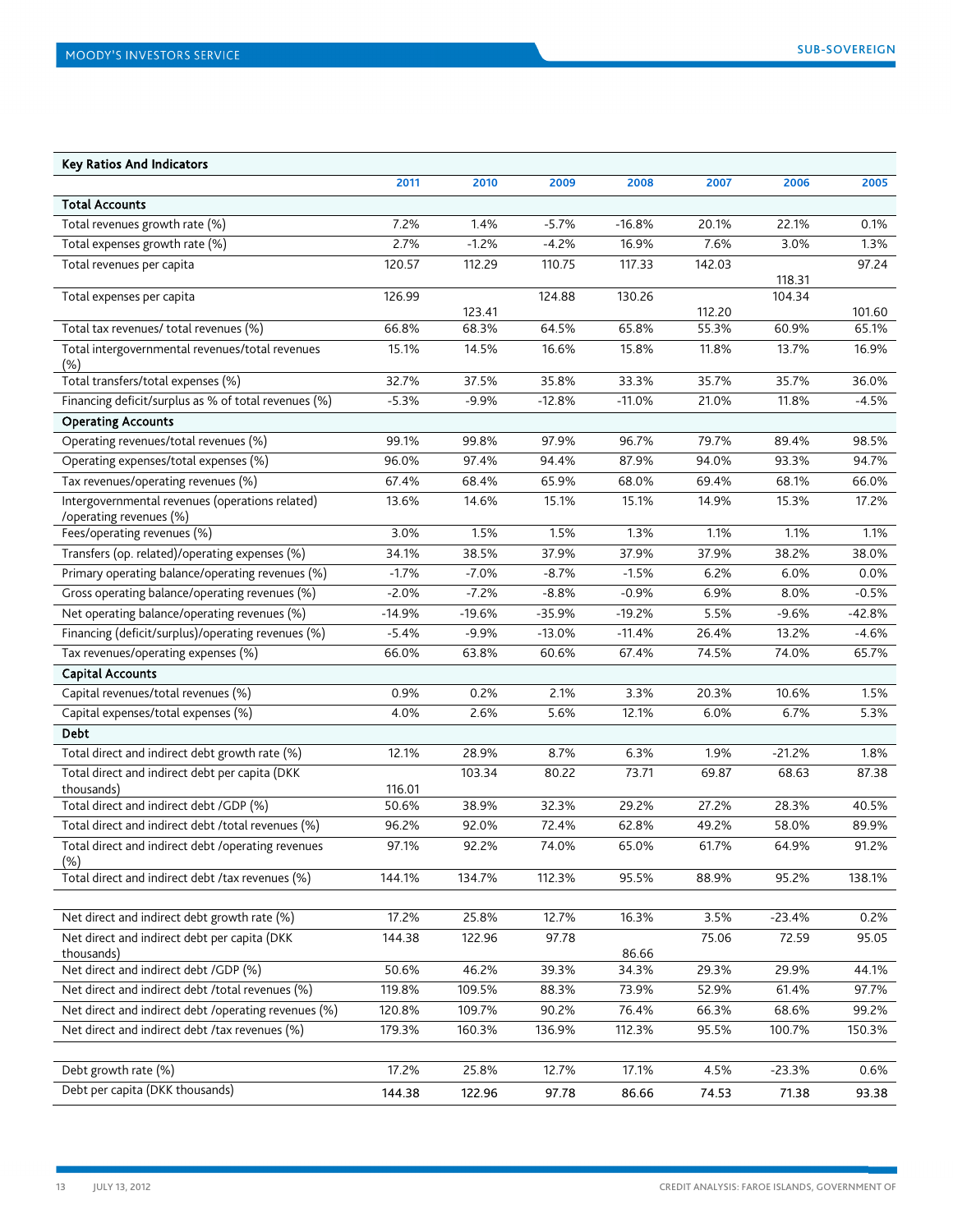### <span id="page-12-0"></span>Key Ratios And Indicators

|                                                                                           | 2011             | 2010            | 2009           | 2008           | 2007           | 2006     | 2005     |
|-------------------------------------------------------------------------------------------|------------------|-----------------|----------------|----------------|----------------|----------|----------|
| <b>Total Accounts</b>                                                                     |                  |                 |                |                |                |          |          |
| Total revenues growth rate (%)                                                            | 7.2%             | 1.4%            | $-5.7%$        | $-16.8%$       | 20.1%          | 22.1%    | 0.1%     |
| Total expenses growth rate (%)                                                            | 2.7%             | $-1.2%$         | $-4.2%$        | 16.9%          | 7.6%           | 3.0%     | 1.3%     |
| Total revenues per capita                                                                 | 120.57           | 112.29          | 110.75         | 117.33         | 142.03         |          | 97.24    |
|                                                                                           |                  |                 |                |                |                | 118.31   |          |
| Total expenses per capita                                                                 | 126.99           |                 | 124.88         | 130.26         | 112.20         | 104.34   | 101.60   |
| Total tax revenues/ total revenues (%)                                                    | 66.8%            | 123.41<br>68.3% | 64.5%          | 65.8%          | 55.3%          | 60.9%    | 65.1%    |
| Total intergovernmental revenues/total revenues                                           | 15.1%            | 14.5%           | 16.6%          | 15.8%          | 11.8%          | 13.7%    | 16.9%    |
| (%)                                                                                       |                  |                 |                |                |                |          |          |
| Total transfers/total expenses (%)                                                        | 32.7%            | 37.5%           | 35.8%          | 33.3%          | 35.7%          | 35.7%    | 36.0%    |
| Financing deficit/surplus as % of total revenues (%)                                      | $-5.3%$          | $-9.9%$         | $-12.8%$       | $-11.0%$       | 21.0%          | 11.8%    | $-4.5%$  |
| <b>Operating Accounts</b>                                                                 |                  |                 |                |                |                |          |          |
| Operating revenues/total revenues (%)                                                     | 99.1%            | 99.8%           | 97.9%          | 96.7%          | 79.7%          | 89.4%    | 98.5%    |
| Operating expenses/total expenses (%)                                                     | 96.0%            | 97.4%           | 94.4%          | 87.9%          | 94.0%          | 93.3%    | 94.7%    |
| Tax revenues/operating revenues (%)                                                       | 67.4%            | 68.4%           | 65.9%          | 68.0%          | 69.4%          | 68.1%    | 66.0%    |
| Intergovernmental revenues (operations related)<br>/operating revenues (%)                | 13.6%            | 14.6%           | 15.1%          | 15.1%          | 14.9%          | 15.3%    | 17.2%    |
| Fees/operating revenues (%)                                                               | 3.0%             | 1.5%            | 1.5%           | 1.3%           | 1.1%           | 1.1%     | 1.1%     |
| Transfers (op. related)/operating expenses (%)                                            | 34.1%            | 38.5%           | 37.9%          | 37.9%          | 37.9%          | 38.2%    | 38.0%    |
| Primary operating balance/operating revenues (%)                                          | $-1.7%$          | $-7.0%$         | $-8.7%$        | $-1.5%$        | 6.2%           | 6.0%     | 0.0%     |
| Gross operating balance/operating revenues (%)                                            | $-2.0%$          | $-7.2%$         | $-8.8%$        | $-0.9%$        | 6.9%           | 8.0%     | $-0.5%$  |
| Net operating balance/operating revenues (%)                                              | $-14.9%$         | $-19.6%$        | $-35.9%$       | $-19.2%$       | 5.5%           | $-9.6%$  | $-42.8%$ |
| Financing (deficit/surplus)/operating revenues (%)                                        | $-5.4%$          | $-9.9%$         | $-13.0%$       | $-11.4%$       | 26.4%          | 13.2%    | $-4.6%$  |
| Tax revenues/operating expenses (%)                                                       | 66.0%            | 63.8%           | 60.6%          | 67.4%          | 74.5%          | 74.0%    | 65.7%    |
| <b>Capital Accounts</b>                                                                   |                  |                 |                |                |                |          |          |
| Capital revenues/total revenues (%)                                                       | 0.9%             | 0.2%            | 2.1%           | 3.3%           | 20.3%          | 10.6%    | 1.5%     |
| Capital expenses/total expenses (%)                                                       | 4.0%             | 2.6%            | 5.6%           | 12.1%          | 6.0%           | 6.7%     | 5.3%     |
| <b>Debt</b>                                                                               |                  |                 |                |                |                |          |          |
| Total direct and indirect debt growth rate (%)                                            | 12.1%            | 28.9%           | 8.7%           | 6.3%           | 1.9%           | $-21.2%$ | 1.8%     |
| Total direct and indirect debt per capita (DKK<br>thousands)                              | 116.01           | 103.34          | 80.22          | 73.71          | 69.87          | 68.63    | 87.38    |
| Total direct and indirect debt /GDP (%)                                                   | 50.6%            | 38.9%           | 32.3%          | 29.2%          | 27.2%          | 28.3%    | 40.5%    |
| Total direct and indirect debt /total revenues (%)                                        | 96.2%            | 92.0%           | 72.4%          | 62.8%          | 49.2%          | 58.0%    | 89.9%    |
| Total direct and indirect debt /operating revenues<br>(%)                                 | 97.1%            | 92.2%           | 74.0%          | 65.0%          | 61.7%          | 64.9%    | 91.2%    |
| Total direct and indirect debt /tax revenues (%)                                          | 144.1%           | 134.7%          | 112.3%         | 95.5%          | 88.9%          | 95.2%    | 138.1%   |
| Net direct and indirect debt growth rate (%)                                              | 17.2%            | 25.8%           | 12.7%          | 16.3%          | 3.5%           | $-23.4%$ | 0.2%     |
| Net direct and indirect debt per capita (DKK                                              | 144.38           | 122.96          | 97.78          |                | 75.06          | 72.59    | 95.05    |
| thousands)                                                                                |                  | 46.2%           | 39.3%          | 86.66<br>34.3% |                | 29.9%    | 44.1%    |
| Net direct and indirect debt /GDP (%)<br>Net direct and indirect debt /total revenues (%) | 50.6%            | 109.5%          |                |                | 29.3%          | 61.4%    |          |
| Net direct and indirect debt /operating revenues (%)                                      | 119.8%<br>120.8% | 109.7%          | 88.3%<br>90.2% | 73.9%<br>76.4% | 52.9%<br>66.3% | 68.6%    | 97.7%    |
| Net direct and indirect debt /tax revenues (%)                                            | 179.3%           |                 |                |                |                | 100.7%   | 99.2%    |
|                                                                                           |                  | 160.3%          | 136.9%         | 112.3%         | 95.5%          |          | 150.3%   |
| Debt growth rate (%)                                                                      |                  |                 |                |                |                |          |          |
|                                                                                           | 17.2%            | 25.8%           | 12.7%          | 17.1%          | 4.5%           | $-23.3%$ | 0.6%     |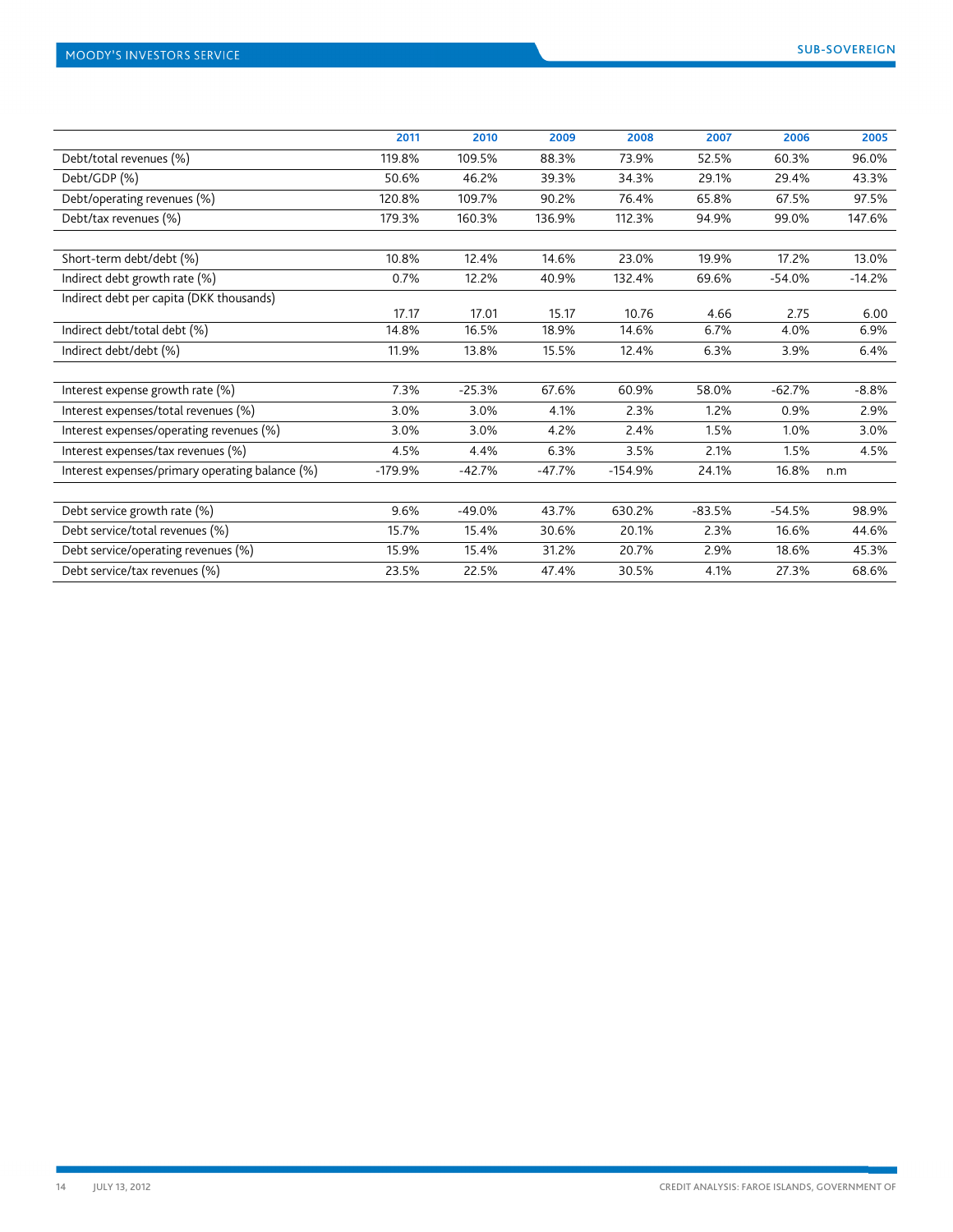|                                                 | 2011      | 2010     | 2009     | 2008      | 2007     | 2006     | 2005     |
|-------------------------------------------------|-----------|----------|----------|-----------|----------|----------|----------|
| Debt/total revenues (%)                         | 119.8%    | 109.5%   | 88.3%    | 73.9%     | 52.5%    | 60.3%    | 96.0%    |
| Debt/GDP (%)                                    | 50.6%     | 46.2%    | 39.3%    | 34.3%     | 29.1%    | 29.4%    | 43.3%    |
| Debt/operating revenues (%)                     | 120.8%    | 109.7%   | 90.2%    | 76.4%     | 65.8%    | 67.5%    | 97.5%    |
| Debt/tax revenues (%)                           | 179.3%    | 160.3%   | 136.9%   | 112.3%    | 94.9%    | 99.0%    | 147.6%   |
|                                                 |           |          |          |           |          |          |          |
| Short-term debt/debt (%)                        | 10.8%     | 12.4%    | 14.6%    | 23.0%     | 19.9%    | 17.2%    | 13.0%    |
| Indirect debt growth rate (%)                   | 0.7%      | 12.2%    | 40.9%    | 132.4%    | 69.6%    | $-54.0%$ | $-14.2%$ |
| Indirect debt per capita (DKK thousands)        |           |          |          |           |          |          |          |
|                                                 | 17.17     | 17.01    | 15.17    | 10.76     | 4.66     | 2.75     | 6.00     |
| Indirect debt/total debt (%)                    | 14.8%     | 16.5%    | 18.9%    | 14.6%     | 6.7%     | 4.0%     | 6.9%     |
| Indirect debt/debt (%)                          | 11.9%     | 13.8%    | 15.5%    | 12.4%     | 6.3%     | 3.9%     | 6.4%     |
|                                                 |           |          |          |           |          |          |          |
| Interest expense growth rate (%)                | 7.3%      | $-25.3%$ | 67.6%    | 60.9%     | 58.0%    | $-62.7%$ | $-8.8%$  |
| Interest expenses/total revenues (%)            | 3.0%      | 3.0%     | 4.1%     | 2.3%      | 1.2%     | 0.9%     | 2.9%     |
| Interest expenses/operating revenues (%)        | 3.0%      | 3.0%     | 4.2%     | 2.4%      | 1.5%     | 1.0%     | 3.0%     |
| Interest expenses/tax revenues (%)              | 4.5%      | 4.4%     | 6.3%     | 3.5%      | 2.1%     | 1.5%     | 4.5%     |
| Interest expenses/primary operating balance (%) | $-179.9%$ | $-42.7%$ | $-47.7%$ | $-154.9%$ | 24.1%    | 16.8%    | n.m      |
|                                                 |           |          |          |           |          |          |          |
| Debt service growth rate (%)                    | 9.6%      | $-49.0%$ | 43.7%    | 630.2%    | $-83.5%$ | $-54.5%$ | 98.9%    |
| Debt service/total revenues (%)                 | 15.7%     | 15.4%    | 30.6%    | 20.1%     | 2.3%     | 16.6%    | 44.6%    |
| Debt service/operating revenues (%)             | 15.9%     | 15.4%    | 31.2%    | 20.7%     | 2.9%     | 18.6%    | 45.3%    |
| Debt service/tax revenues (%)                   | 23.5%     | 22.5%    | 47.4%    | 30.5%     | 4.1%     | 27.3%    | 68.6%    |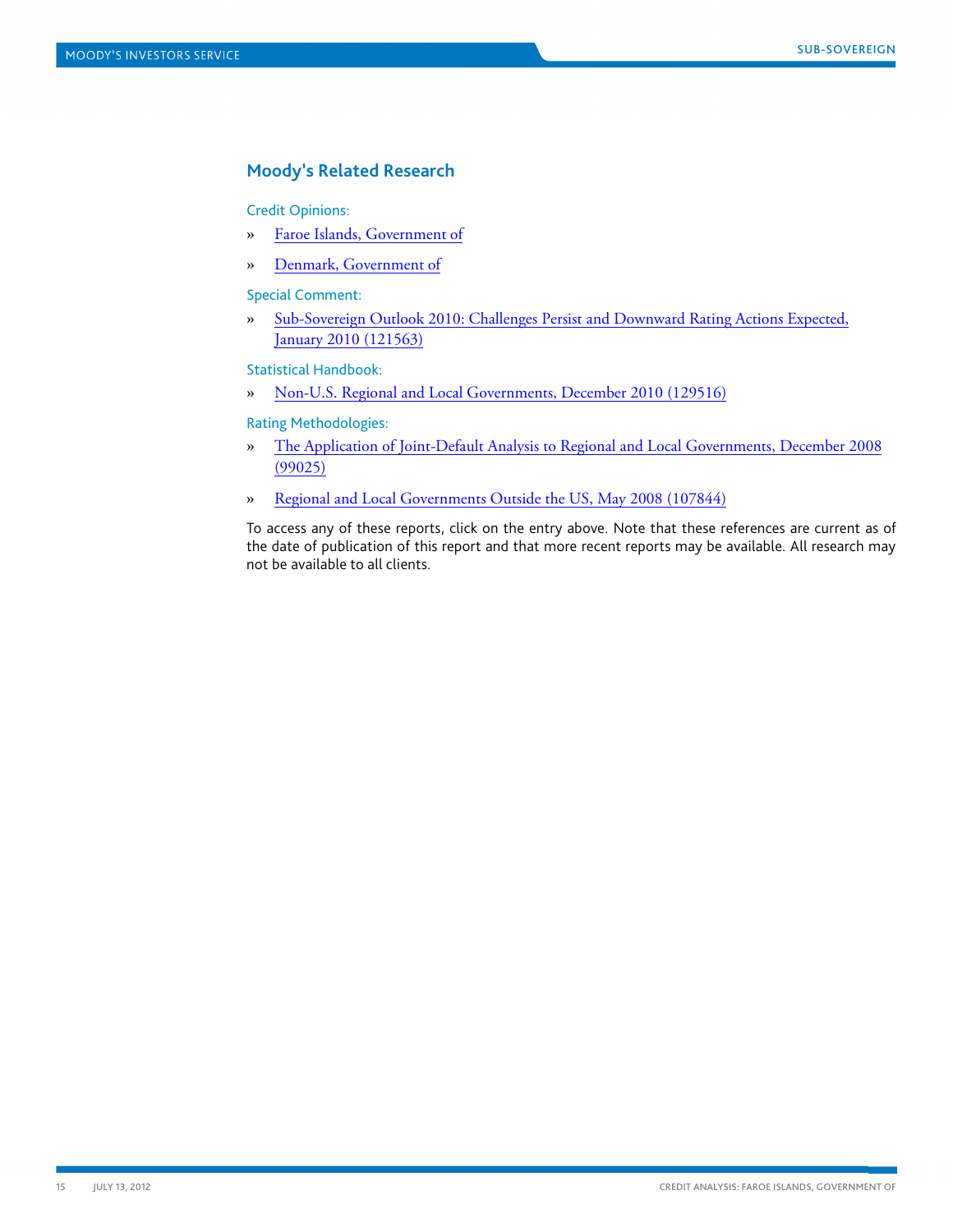# **Moody's Related Research**

Credit Opinions:

- » [Faroe Islands, Government of](http://www.moodys.com/viewresearchdoc.aspx?lang=en&cy=global&docid=COP_820828907)
- » [Denmark, Government of](http://www.moodys.com/viewresearchdoc.aspx?docid=COP_230700)

Special Comment:

» [Sub-Sovereign Outlook 2010: Challenges Persist and Downward Rating Actions Expected,](http://www.moodys.com/viewresearchdoc.aspx?docid=PBC_121563)  [January 2010 \(121563\)](http://www.moodys.com/viewresearchdoc.aspx?docid=PBC_121563)

Statistical Handbook:

» [Non-U.S. Regional and Local Governments, December](http://www.moodys.com/viewresearchdoc.aspx?docid=PBC_129516) 2010 (129516)

Rating Methodologies:

- » [The Application of Joint-Default Analysis to Regional and Local Governments, December 2008](http://www.moodys.com/viewresearchdoc.aspx?docid=PBC_99025)  [\(99025\)](http://www.moodys.com/viewresearchdoc.aspx?docid=PBC_99025)
- » [Regional and Local Governments Outside the US, May 2008 \(107844\)](http://www.moodys.com/viewresearchdoc.aspx?docid=PBC_107844)

To access any of these reports, click on the entry above. Note that these references are current as of the date of publication of this report and that more recent reports may be available. All research may not be available to all clients.